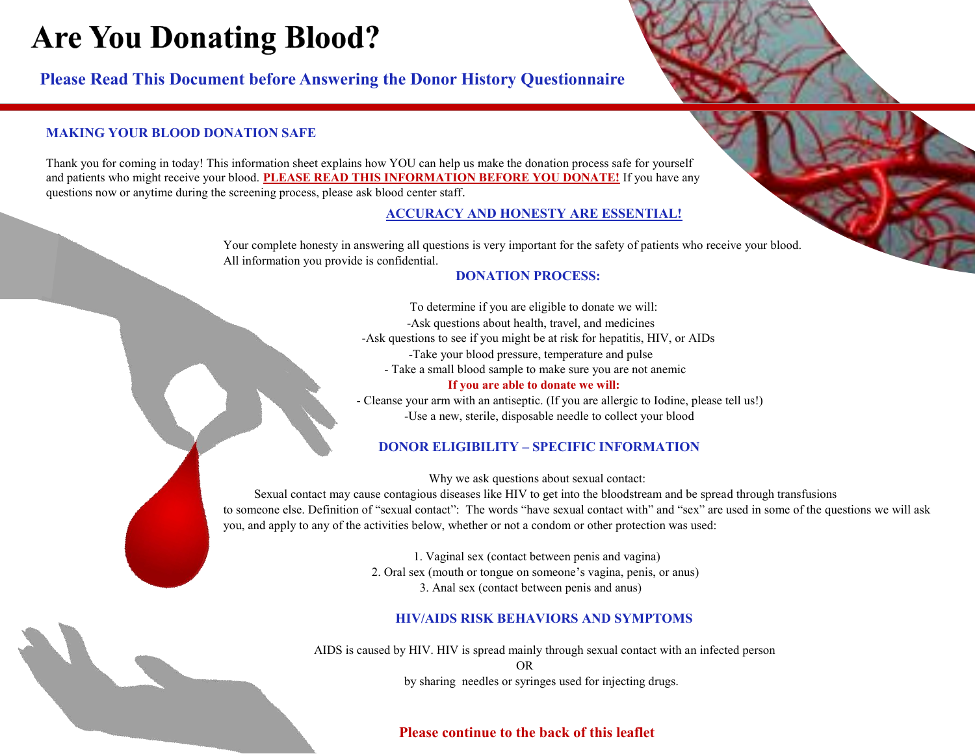# **Are You Donating Blood?**

**Please Read This Document before Answering the Donor History Questionnaire**

# **MAKING YOUR BLOOD DONATION SAFE**

Thank you for coming in today! This information sheet explains how YOU can help us make the donation process safe for yourself and patients who might receive your blood. **PLEASE READ THIS INFORMATION BEFORE YOU DONATE!** If you have any questions now or anytime during the screening process, please ask blood center staff.

## **ACCURACY AND HONESTY ARE ESSENTIAL!**

Your complete honesty in answering all questions is very important for the safety of patients who receive your blood. All information you provide is confidential.

## **DONATION PROCESS:**

 To determine if you are eligible to donate we will: -Ask questions about health, travel, and medicines -Ask questions to see if you might be at risk for hepatitis, HIV, or AIDs -Take your blood pressure, temperature and pulse - Take a small blood sample to make sure you are not anemic

## **If you are able to donate we will:**

 - Cleanse your arm with an antiseptic. (If you are allergic to Iodine, please tell us!) -Use a new, sterile, disposable needle to collect your blood

# **DONOR ELIGIBILITY – SPECIFIC INFORMATION**

Why we ask questions about sexual contact:

 Sexual contact may cause contagious diseases like HIV to get into the bloodstream and be spread through transfusions to someone else. Definition of "sexual contact": The words "have sexual contact with" and "sex" are used in some of the questions we will ask you, and apply to any of the activities below, whether or not a condom or other protection was used:

> 1. Vaginal sex (contact between penis and vagina) 2. Oral sex (mouth or tongue on someone's vagina, penis, or anus) 3. Anal sex (contact between penis and anus)

# **HIV/AIDS RISK BEHAVIORS AND SYMPTOMS**

 AIDS is caused by HIV. HIV is spread mainly through sexual contact with an infected person OR by sharing needles or syringes used for injecting drugs.

# **Please continue to the back of this leaflet**